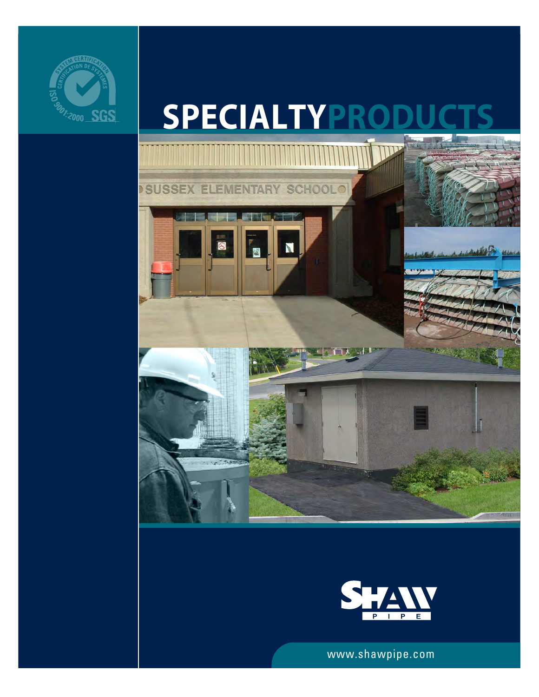

# **SPECIALTYPROD**





www.shawpipe.com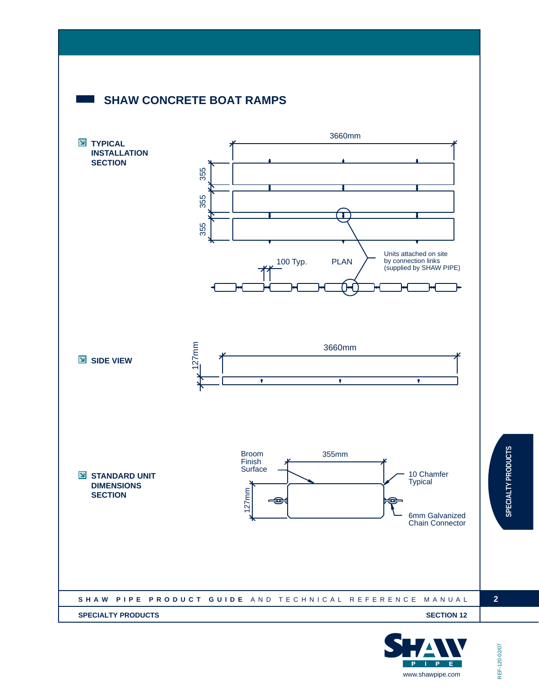

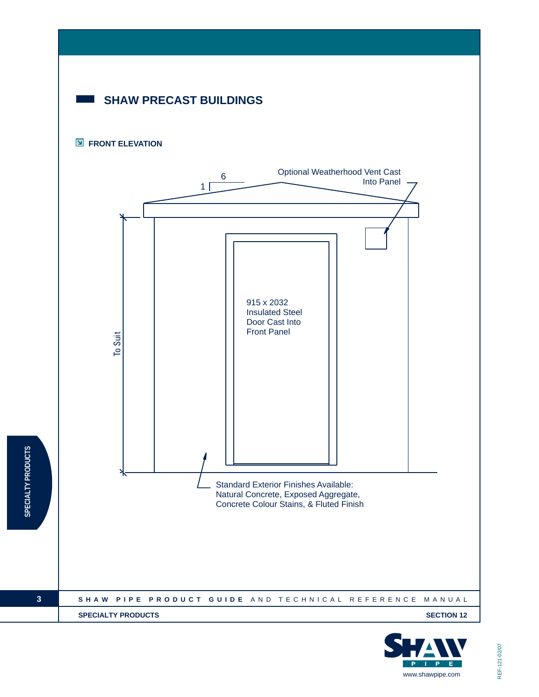

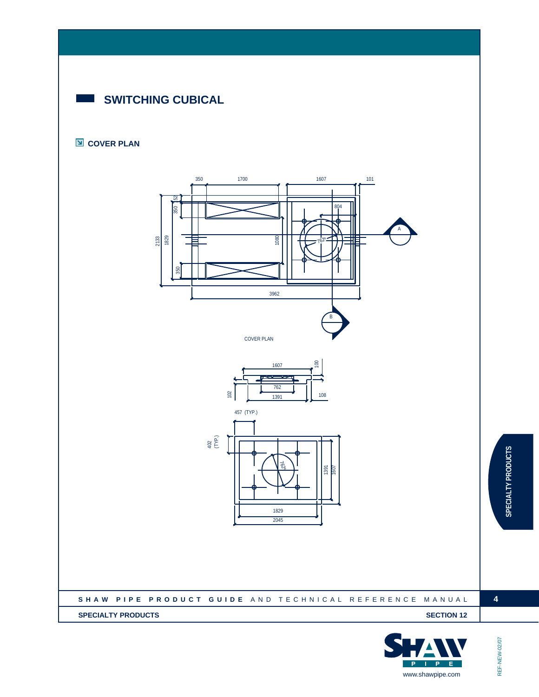# **SWITCHING CUBICAL**

#### **COVER PLAN**





**SPECIALTY PRODUCTS**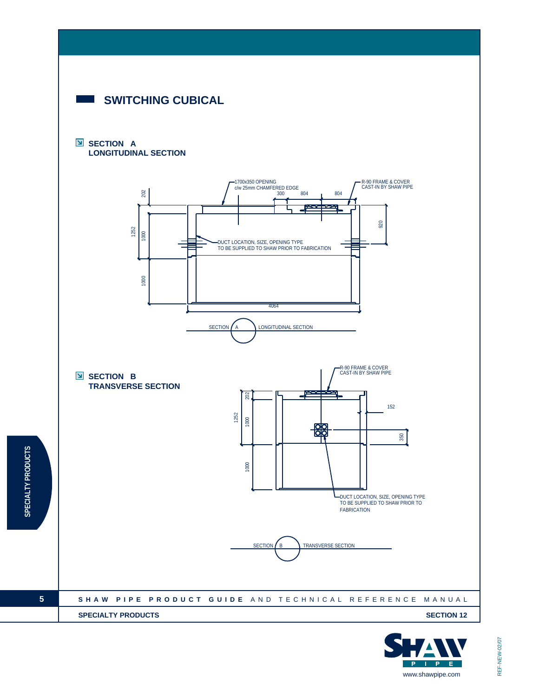

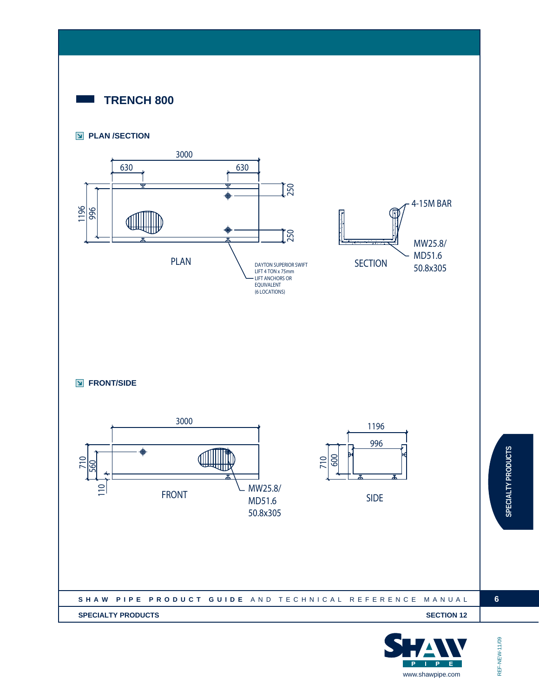

#### **PLAN /SECTION**



**FRONT/SIDE** 



| SHAW PIPE PRODUCT GUIDE AND TECHNICAL REFERENCE MANUAL |  |
|--------------------------------------------------------|--|
| <b>SPECIALTY PRODUCTS</b><br><b>SECTION 12</b>         |  |
|                                                        |  |



REF-NEW-11/09

REF-NEW-11/09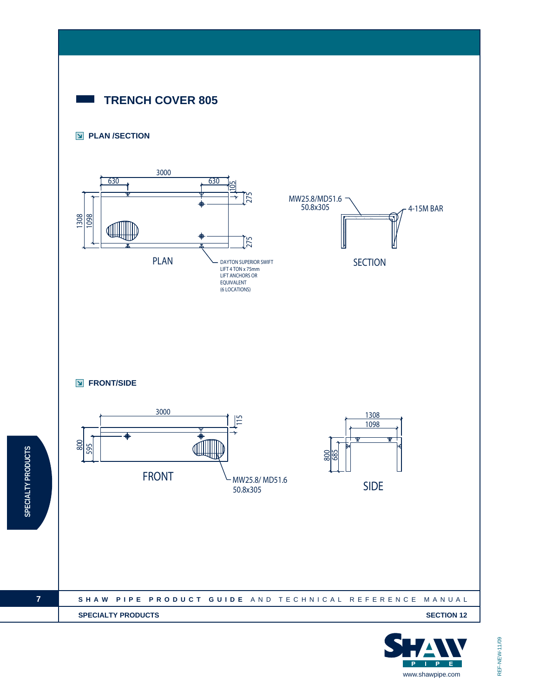

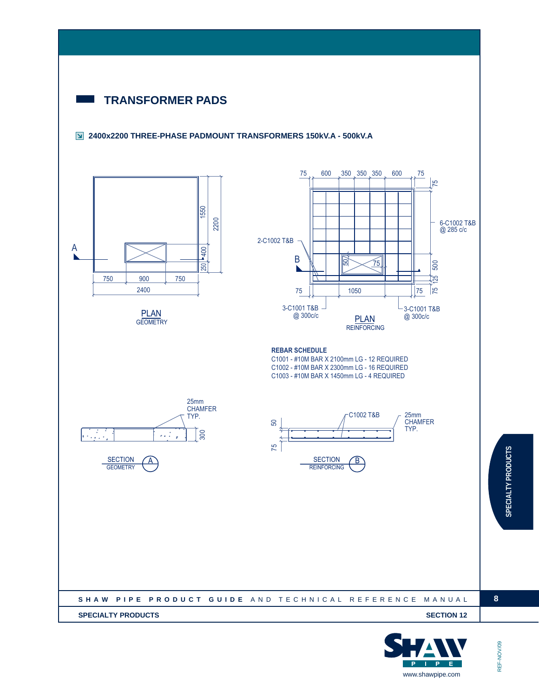



REF-NOV/09 REF-NOV/09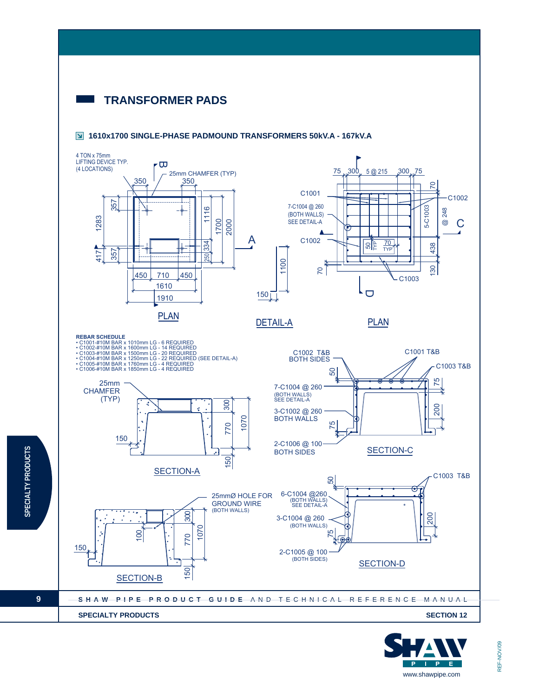### **TRANSFORMER PADS**

**SPECIALTY PRODUCTS**

SPECIALTY PRODUCTS

**9**







www.shawpipe.com

**P** E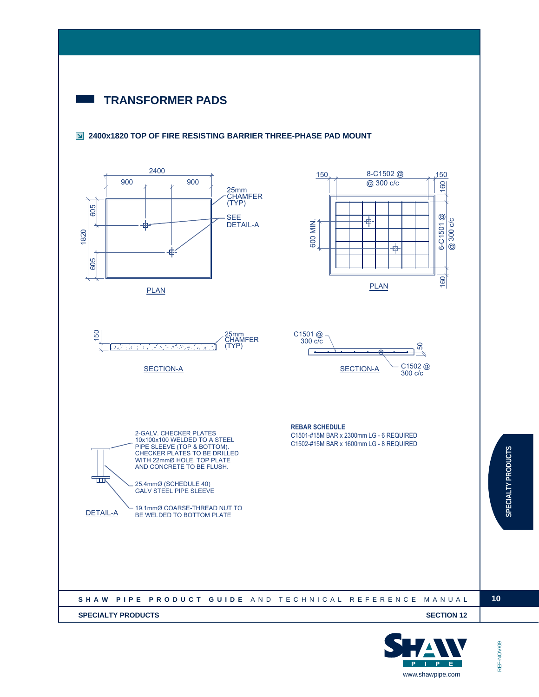# **TRANSFORMER PADS**

#### **2400x1820 TOP OF FIRE RESISTING BARRIER THREE-PHASE PAD MOUNT**





**10**

REF-NOV/09

REF-NOV/09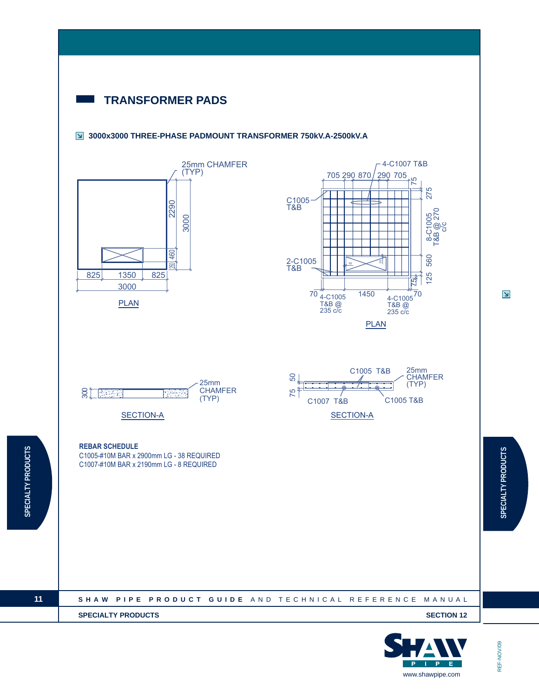



REF-NOV/09

REF-NOV/09

**11**

**SPECIALTY PRODUCTS**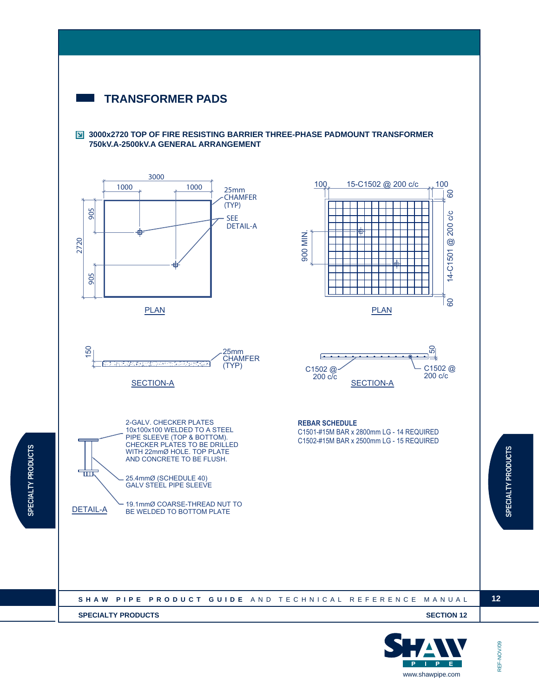# **TRANSFORMER PADS**

#### **3000x2720 TOP OF FIRE RESISTING BARRIER THREE-PHASE PADMOUNT TRANSFORMER 750kV.A-2500kV.A GENERAL ARRANGEMENT**









25.4mmØ (SCHEDULE 40) GALV STEEL PIPE SLEEVE

19.1mmØ COARSE-THREAD NUT TO DETAIL-A BE WELDED TO BOTTOM PLATE



100 15-C1502 @ 200 c/c 100

60

| SHAW PIPE PRODUCT GUIDE AND TECHNICAL REFERENCE MANUAL |  |
|--------------------------------------------------------|--|
| <b>SPECIALTY PRODUCTS</b><br><b>SECTION 12</b>         |  |
|                                                        |  |



# REF-NOV/09 REF-NOV/09

一世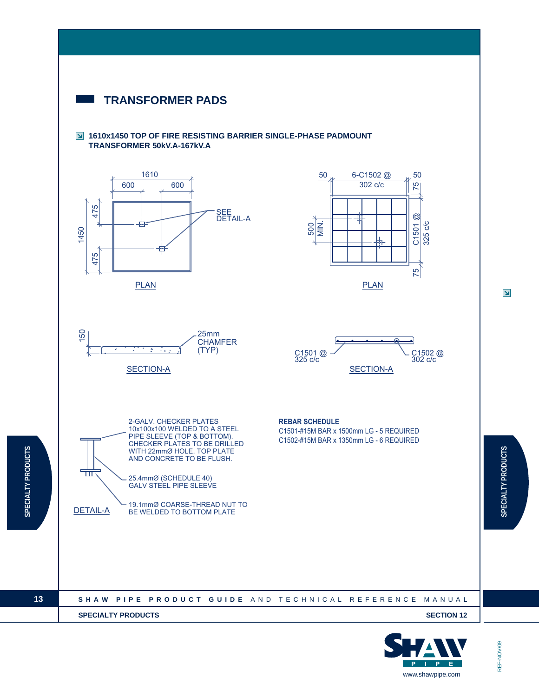

SPECIALTY PRODUCTS



REF-NOV/09

REF-NOV/09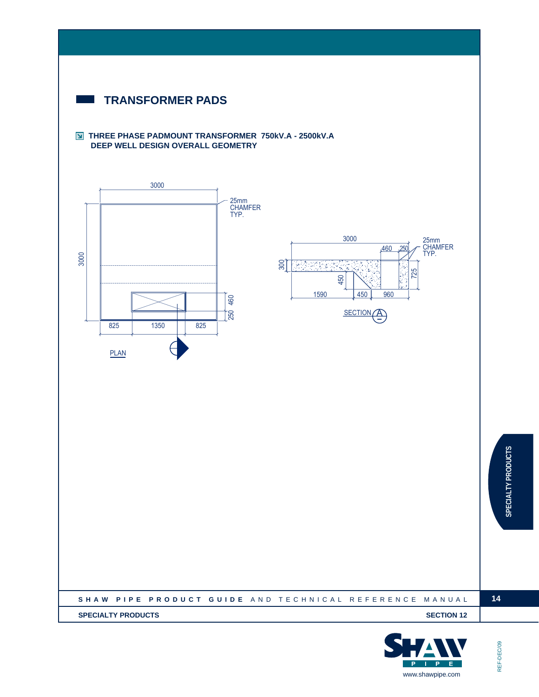

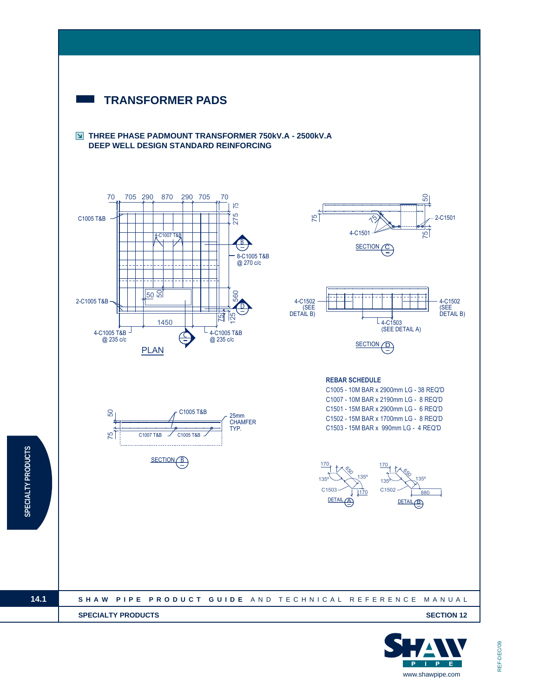

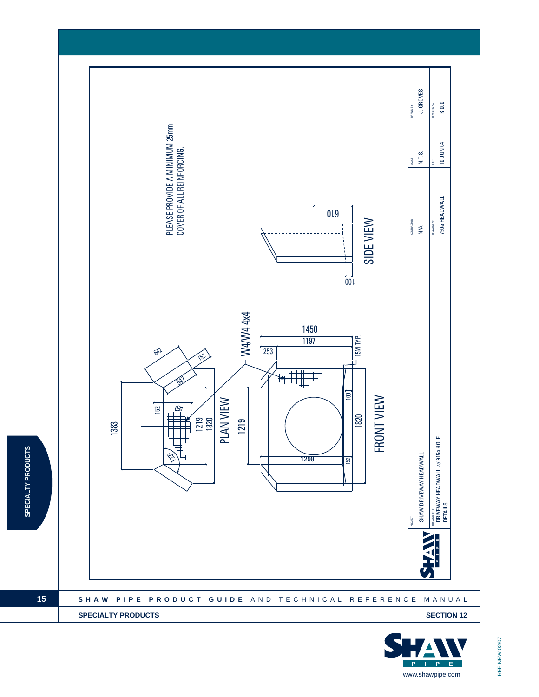

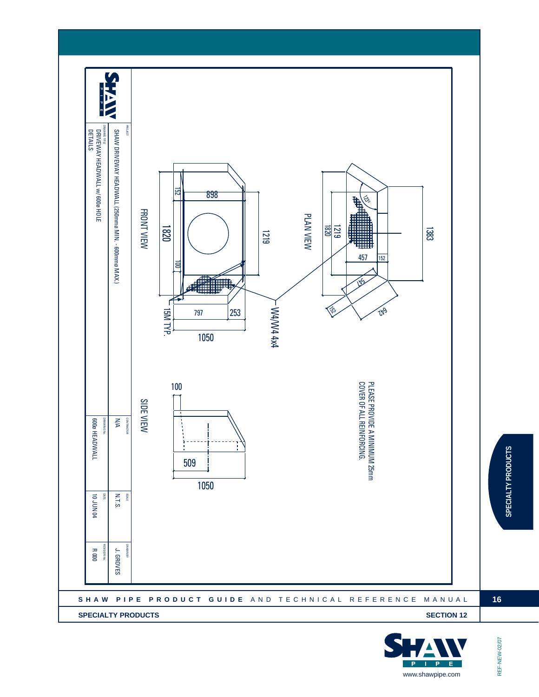

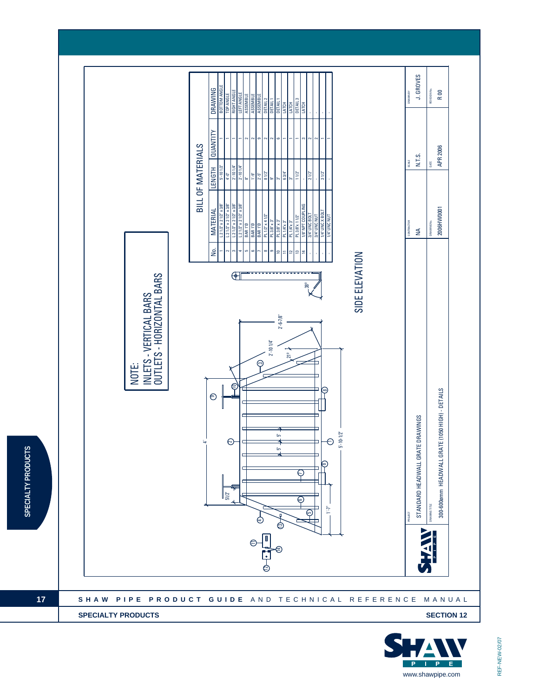

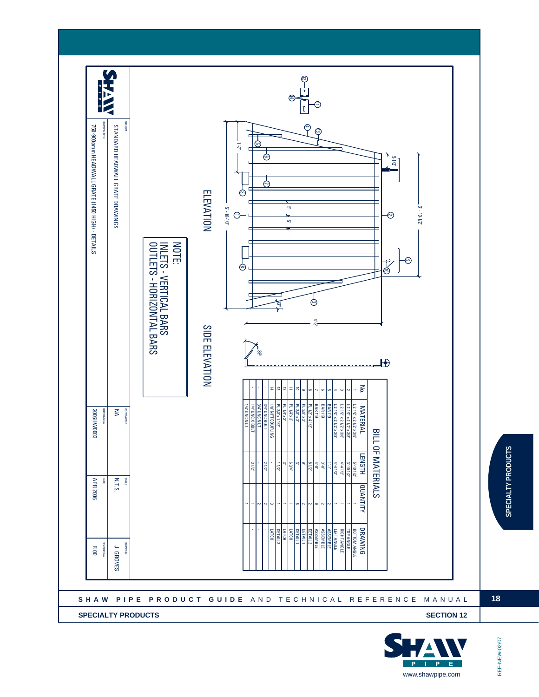

 $E$  $\overline{P}$  $\mathbf{P}$ www.shawpipe.com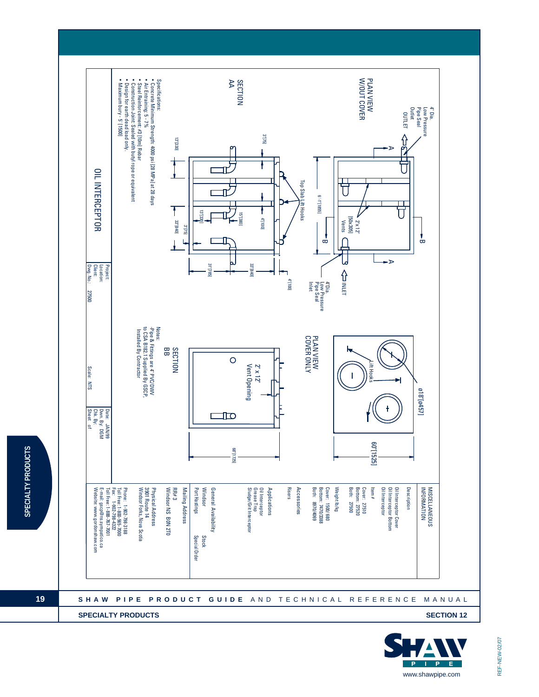

SPECIALTY PRODUCTS

**19**

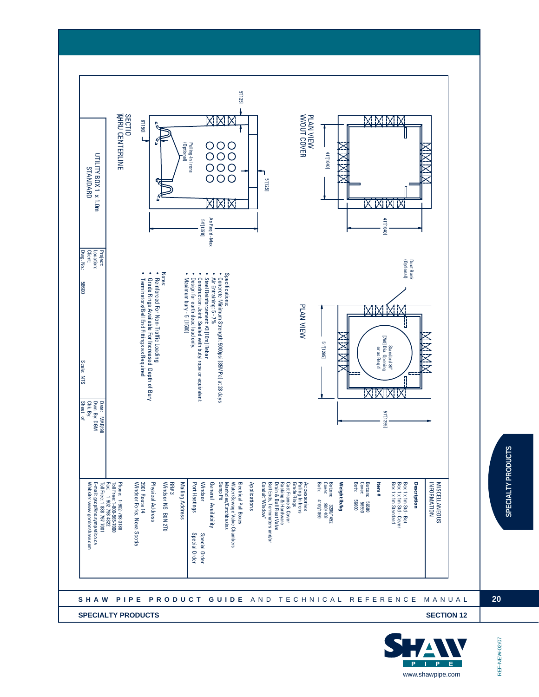

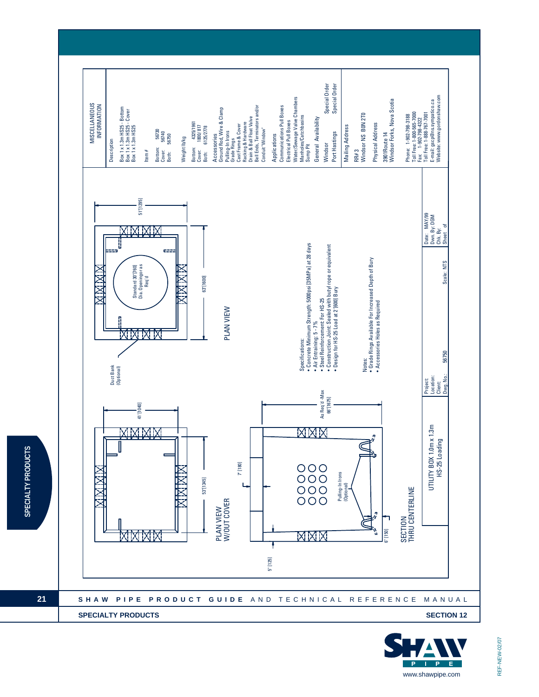

SPECIALTY PRODUCTS

**21**

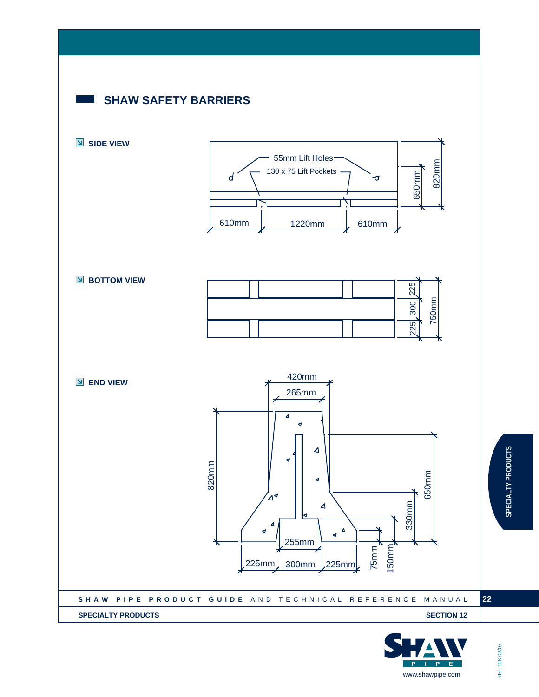

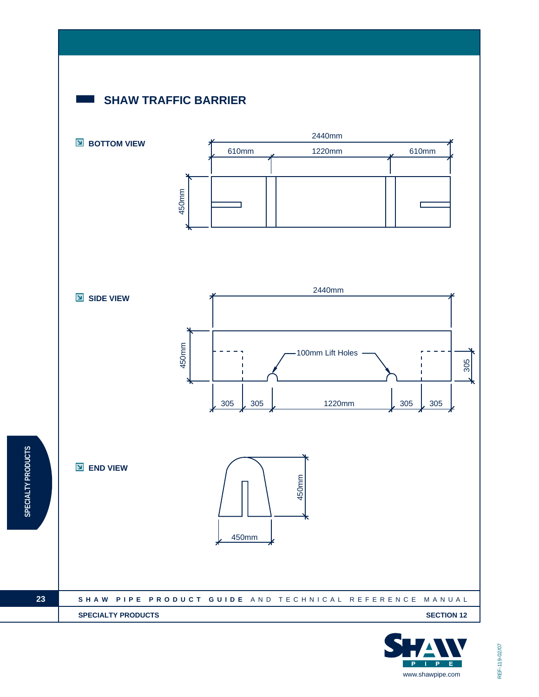# **SHAW TRAFFIC BARRIER**

**SPECIALTY PRODUCTS**



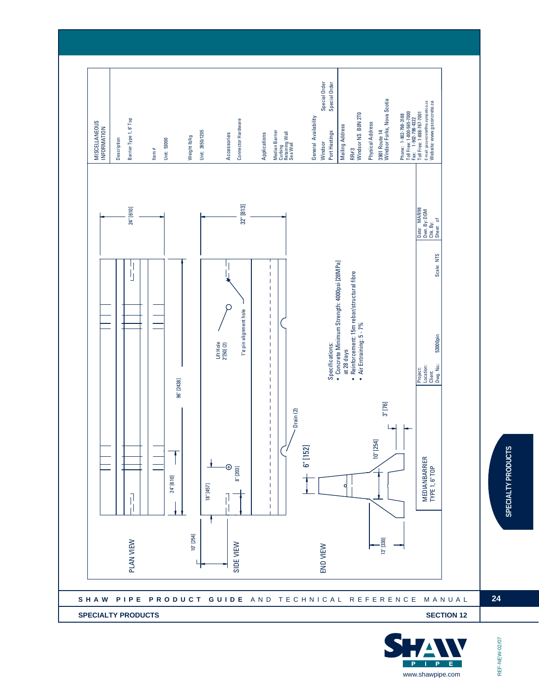



**24**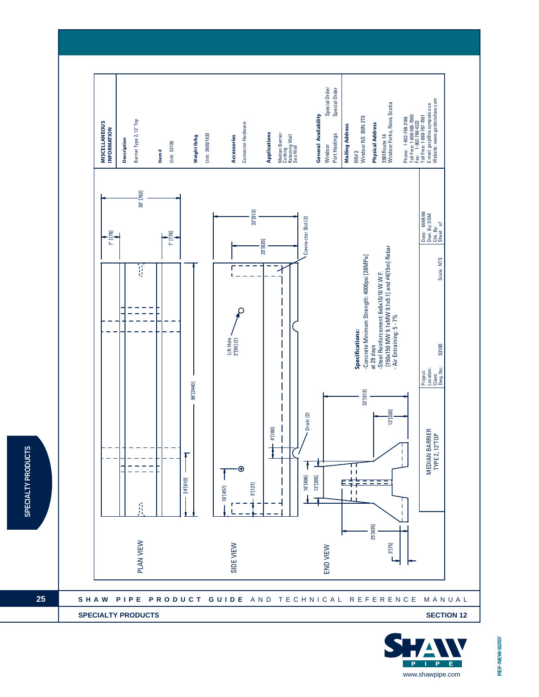

SPECIALTY PRODUCTS

**25**

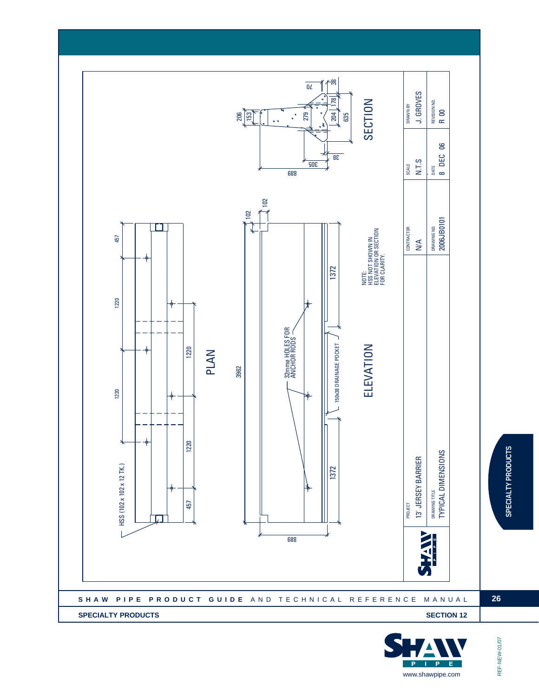



REF-NEW-01/07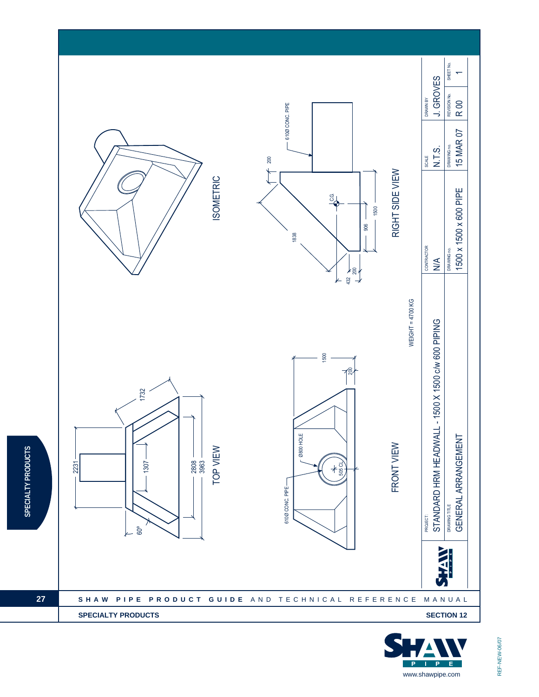

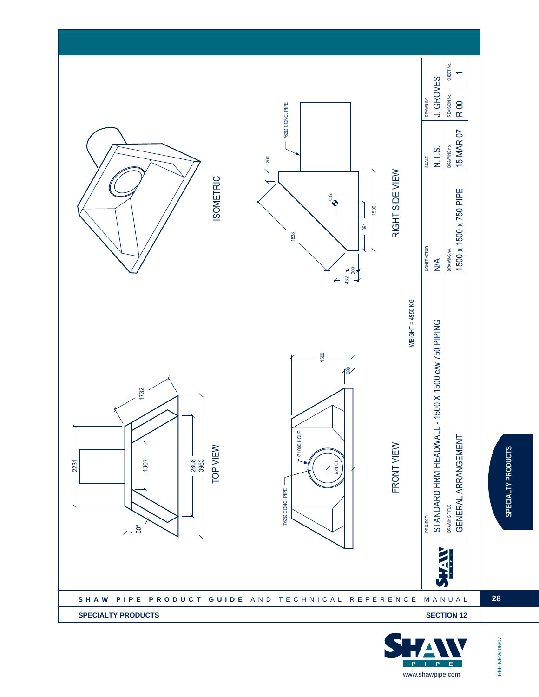

 $\mathbf{p}$  $\overline{P}$ E www.shawpipe.com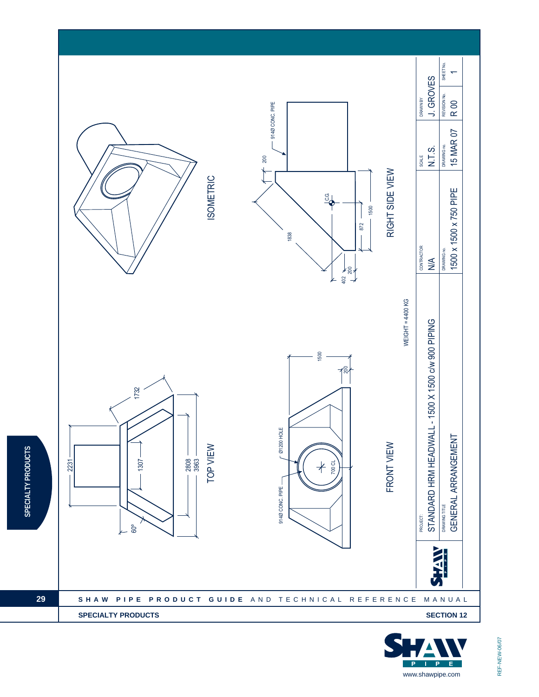

SPECIALTY PRODUCTS

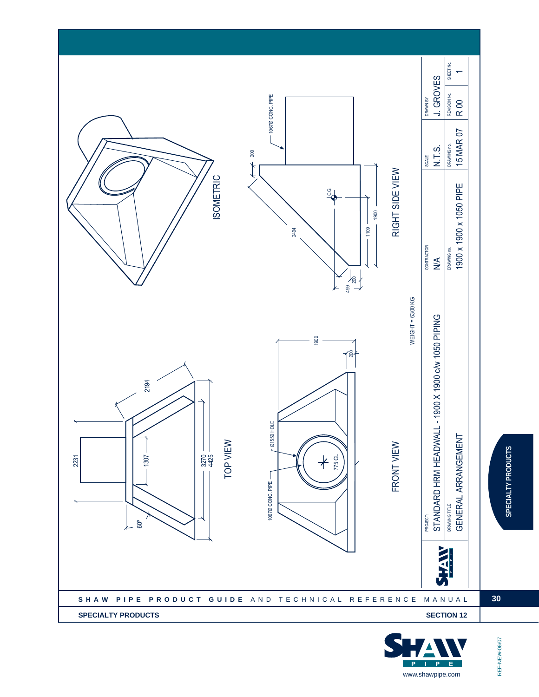

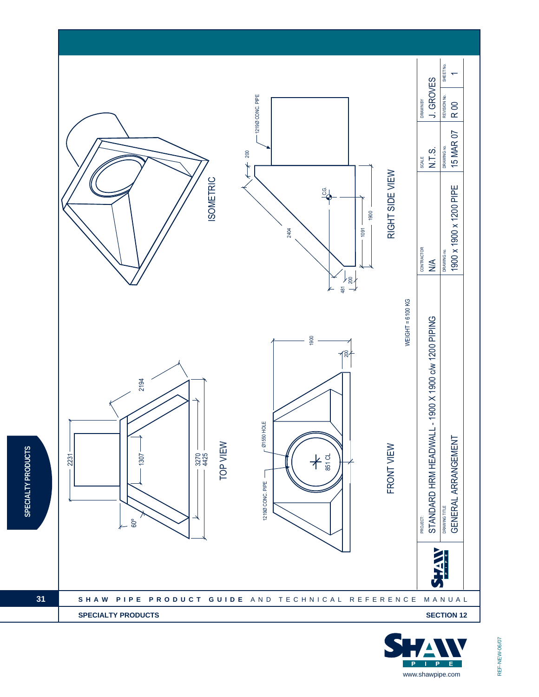

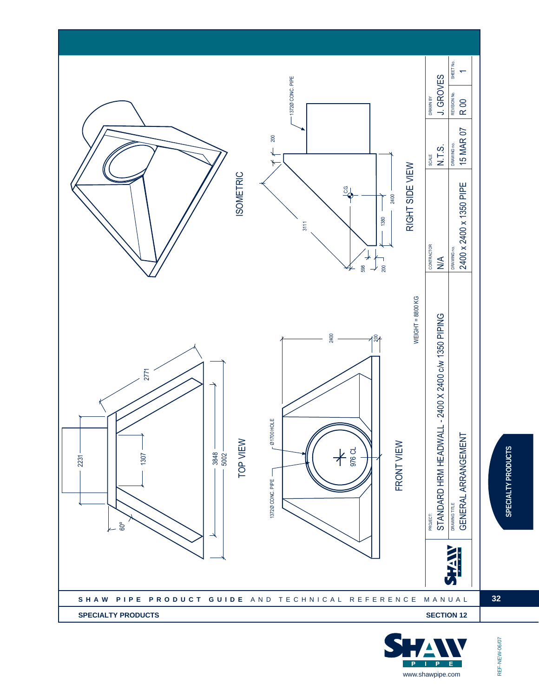

 $\mathbf{p}$  $\overline{P}$ E www.shawpipe.com